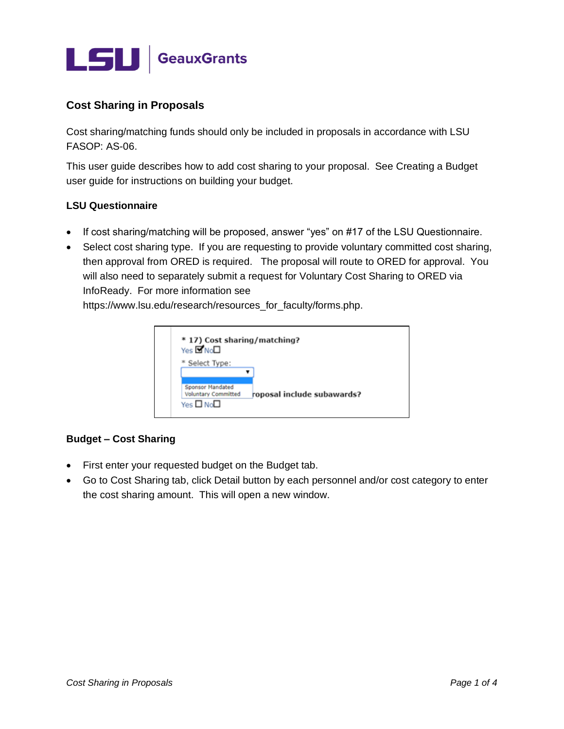

# **Cost Sharing in Proposals**

Cost sharing/matching funds should only be included in proposals in accordance with LSU FASOP: AS-06.

This user guide describes how to add cost sharing to your proposal. See Creating a Budget user guide for instructions on building your budget.

#### **LSU Questionnaire**

- If cost sharing/matching will be proposed, answer "yes" on #17 of the LSU Questionnaire.
- Select cost sharing type. If you are requesting to provide voluntary committed cost sharing, then approval from ORED is required. The proposal will route to ORED for approval. You will also need to separately submit a request for Voluntary Cost Sharing to ORED via InfoReady. For more information see

https://www.lsu.edu/research/resources\_for\_faculty/forms.php.



#### **Budget – Cost Sharing**

- First enter your requested budget on the Budget tab.
- Go to Cost Sharing tab, click Detail button by each personnel and/or cost category to enter the cost sharing amount. This will open a new window.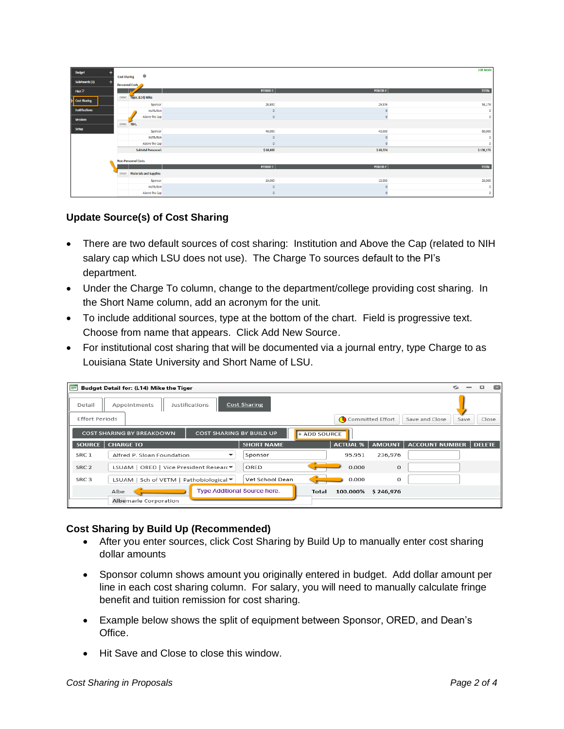| <b>Budget</b>                 |                            |                               |                     |                 | <b>Edit Mode</b> |  |  |  |  |
|-------------------------------|----------------------------|-------------------------------|---------------------|-----------------|------------------|--|--|--|--|
|                               | <b>Cost Sharing</b>        | $\boldsymbol{\theta}$         |                     |                 |                  |  |  |  |  |
| SubAwards (1)                 | Personnel Costs            |                               |                     |                 |                  |  |  |  |  |
| <b>F&amp;A</b> <sup>2</sup>   |                            |                               | PERIOD <sub>1</sub> | <b>PERIOD 2</b> | <b>TOTAL</b>     |  |  |  |  |
|                               | Detail                     | Tiger, (L14) Mike             |                     |                 |                  |  |  |  |  |
| $\triangleright$ Cost Sharing |                            | Sponsor                       | 28,800              | 29,376          | 58,176           |  |  |  |  |
| <b>Justifications</b>         |                            | Institution                   |                     |                 |                  |  |  |  |  |
| <b>Versions</b>               |                            | Above the Cap                 |                     |                 | $\mathbf{0}$     |  |  |  |  |
|                               |                            | Detail TBH,                   |                     |                 |                  |  |  |  |  |
| <b>Setup</b>                  |                            | Sponsor                       | 40,000              | 40,000          | 80,000           |  |  |  |  |
|                               |                            | Institution                   |                     |                 |                  |  |  |  |  |
|                               |                            | Above the Cap                 |                     |                 | $\Omega$         |  |  |  |  |
|                               | <b>Subtotal Personnel:</b> |                               | \$68,800            | \$69,376        | \$138,176        |  |  |  |  |
|                               |                            |                               |                     |                 |                  |  |  |  |  |
|                               |                            | <b>Non-Personnel Costs</b>    |                     |                 |                  |  |  |  |  |
|                               |                            |                               | PERIOD <sub>1</sub> | <b>PERIOD 2</b> | <b>TOTAL</b>     |  |  |  |  |
|                               | Detail                     | <b>Materials and Supplies</b> |                     |                 |                  |  |  |  |  |
|                               |                            | Sponsor                       | 10,000              | 10,000          | 20,000           |  |  |  |  |
|                               |                            | Institution                   | $\theta$            |                 | $\Omega$         |  |  |  |  |
|                               |                            | Above the Cap                 | $\Omega$            |                 | $\Omega$         |  |  |  |  |

## **Update Source(s) of Cost Sharing**

- There are two default sources of cost sharing: Institution and Above the Cap (related to NIH salary cap which LSU does not use). The Charge To sources default to the PI's department.
- Under the Charge To column, change to the department/college providing cost sharing. In the Short Name column, add an acronym for the unit.
- To include additional sources, type at the bottom of the chart. Field is progressive text. Choose from name that appears. Click Add New Source.
- For institutional cost sharing that will be documented via a journal entry, type Charge to as Louisiana State University and Short Name of LSU.

| Budget Detail for: (L14) Mike the Tiger<br>E                                        |                                         |                              |       |                 |                    |                       |      |               |       |  |  |
|-------------------------------------------------------------------------------------|-----------------------------------------|------------------------------|-------|-----------------|--------------------|-----------------------|------|---------------|-------|--|--|
| Cost Sharing<br><b>Justifications</b><br>Appointments<br>Detail                     |                                         |                              |       |                 |                    |                       |      |               |       |  |  |
| <b>Effort Periods</b><br>Committed Effort<br>Save and Close                         |                                         |                              |       |                 |                    |                       | Save |               | Close |  |  |
| <b>COST SHARING BY BUILD UP</b><br><b>COST SHARING BY BREAKDOWN</b><br>+ ADD SOURCE |                                         |                              |       |                 |                    |                       |      |               |       |  |  |
| <b>SOURCE</b>                                                                       | <b>CHARGE TO</b>                        | <b>SHORT NAME</b>            |       | <b>ACTUAL %</b> | AMOUNT             | <b>ACCOUNT NUMBER</b> |      | <b>DELETE</b> |       |  |  |
| SRC <sub>1</sub>                                                                    | Alfred P. Sloan Foundation<br>۰         | Sponsor                      |       | 95.951          | 236,976            |                       |      |               |       |  |  |
| SRC <sub>2</sub>                                                                    | LSUAM   ORED   Vice President Researc ▼ | ORED                         |       | 0.000           | $\Omega$           |                       |      |               |       |  |  |
| SRC <sub>3</sub>                                                                    | LSUAM   Sch of VETM   Pathobiological ▼ | Vet School Dean              |       | 0.000           | o                  |                       |      |               |       |  |  |
|                                                                                     | Albe<br>Albemarle Corporation           | Type Additional Source here. | Total |                 | 100.000% \$246,976 |                       |      |               |       |  |  |

## **Cost Sharing by Build Up (Recommended)**

- After you enter sources, click Cost Sharing by Build Up to manually enter cost sharing dollar amounts
- Sponsor column shows amount you originally entered in budget. Add dollar amount per line in each cost sharing column. For salary, you will need to manually calculate fringe benefit and tuition remission for cost sharing.
- Example below shows the split of equipment between Sponsor, ORED, and Dean's Office.
- Hit Save and Close to close this window.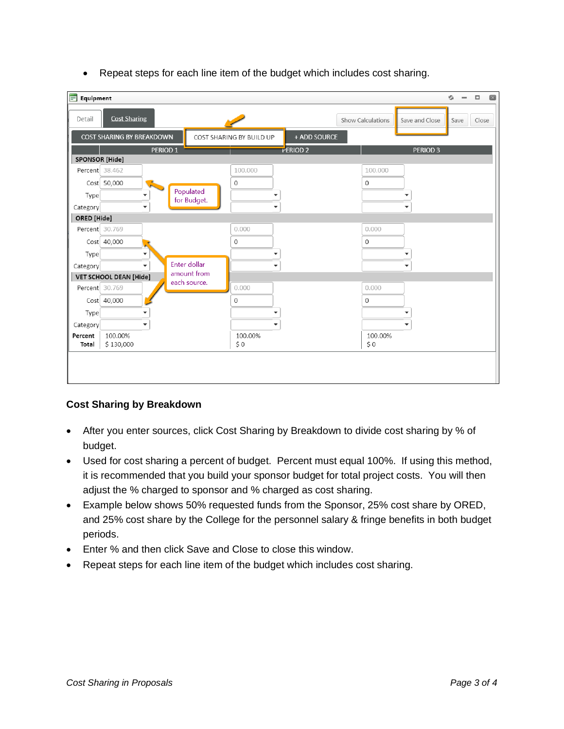- $\Box$  $\Box$  $\equiv$  Equipment G.  $\overline{\phantom{a}}$ **Cost Sharing** Detail Show Calculations Save and Close Save Close **COST SHARING BY BREAKDOWN** + ADD SOURCE COST SHARING BY BUILD UP **PERIOD1** PERIOD<sub>2</sub> PERIOD<sub>3</sub> SPONSOR [Hide] Percent 38.462 100.000 100.000 Cost 50,000  $\mathbf 0$  $\mathbf 0$ Populated Type  $\overline{\phantom{a}}$ ٠ for Budget.  $\ddot{}$ ÷  $\overline{\phantom{0}}$ Category ORED [Hide]  $0.000$  $0.000$ Percent 30.769  $Cost \begin{bmatrix} 40,000 \end{bmatrix}$  $\,0\,$ 0 Type ٠  $\overline{\phantom{0}}$  $\overline{\phantom{a}}$ Enter dollar ٠ ÷  $\ddot{\phantom{1}}$ Category amount from VET SCHOOL DEAN [Hide] each source.  $0.000$  $0.000$ Percent 30.769 Cost 40,000  $\overline{0}$  $\,0\,$ Type  $\overline{\phantom{0}}$  $\overline{\phantom{a}}$  $\overline{\phantom{a}}$ ÷ ÷  $\overline{\phantom{0}}$ Category 100.00% Percent 100.00% 100.00% Total \$130,000  $$0$  $$0$
- Repeat steps for each line item of the budget which includes cost sharing.

## **Cost Sharing by Breakdown**

- After you enter sources, click Cost Sharing by Breakdown to divide cost sharing by % of budget.
- Used for cost sharing a percent of budget. Percent must equal 100%. If using this method, it is recommended that you build your sponsor budget for total project costs. You will then adjust the % charged to sponsor and % charged as cost sharing.
- Example below shows 50% requested funds from the Sponsor, 25% cost share by ORED, and 25% cost share by the College for the personnel salary & fringe benefits in both budget periods.
- Enter % and then click Save and Close to close this window.
- Repeat steps for each line item of the budget which includes cost sharing.